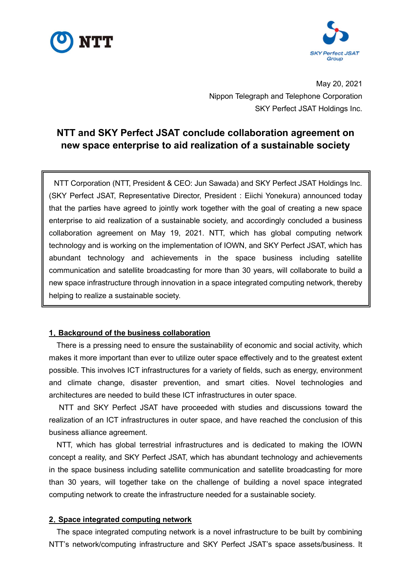



May 20, 2021 Nippon Telegraph and Telephone Corporation SKY Perfect JSAT Holdings Inc.

# **NTT and SKY Perfect JSAT conclude collaboration agreement on new space enterprise to aid realization of a sustainable society**

NTT Corporation (NTT, President & CEO: Jun Sawada) and SKY Perfect JSAT Holdings Inc. (SKY Perfect JSAT, Representative Director, President : Eiichi Yonekura) announced today that the parties have agreed to jointly work together with the goal of creating a new space enterprise to aid realization of a sustainable society, and accordingly concluded a business collaboration agreement on May 19, 2021. NTT, which has global computing network technology and is working on the implementation of IOWN, and SKY Perfect JSAT, which has abundant technology and achievements in the space business including satellite communication and satellite broadcasting for more than 30 years, will collaborate to build a new space infrastructure through innovation in a space integrated computing network, thereby helping to realize a sustainable society.

# **1**.**Background of the business collaboration**

There is a pressing need to ensure the sustainability of economic and social activity, which makes it more important than ever to utilize outer space effectively and to the greatest extent possible. This involves ICT infrastructures for a variety of fields, such as energy, environment and climate change, disaster prevention, and smart cities. Novel technologies and architectures are needed to build these ICT infrastructures in outer space.

 NTT and SKY Perfect JSAT have proceeded with studies and discussions toward the realization of an ICT infrastructures in outer space, and have reached the conclusion of this business alliance agreement.

NTT, which has global terrestrial infrastructures and is dedicated to making the IOWN concept a reality, and SKY Perfect JSAT, which has abundant technology and achievements in the space business including satellite communication and satellite broadcasting for more than 30 years, will together take on the challenge of building a novel space integrated computing network to create the infrastructure needed for a sustainable society.

### **2**.**Space integrated computing network**

The space integrated computing network is a novel infrastructure to be built by combining NTT's network/computing infrastructure and SKY Perfect JSAT's space assets/business. It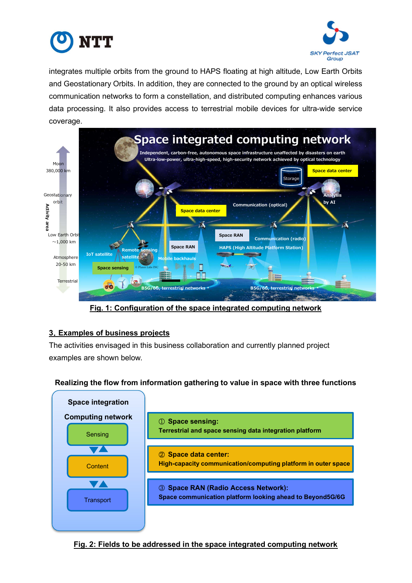



integrates multiple orbits from the ground to HAPS floating at high altitude, Low Earth Orbits and Geostationary Orbits. In addition, they are connected to the ground by an optical wireless communication networks to form a constellation, and distributed computing enhances various data processing. It also provides access to terrestrial mobile devices for ultra-wide service coverage.



**Fig. 1: Configuration of the space integrated computing network** 

# **3**.**Examples of business projects**

The activities envisaged in this business collaboration and currently planned project examples are shown below.

# **Realizing the flow from information gathering to value in space with three functions**



# **Fig. 2: Fields to be addressed in the space integrated computing network**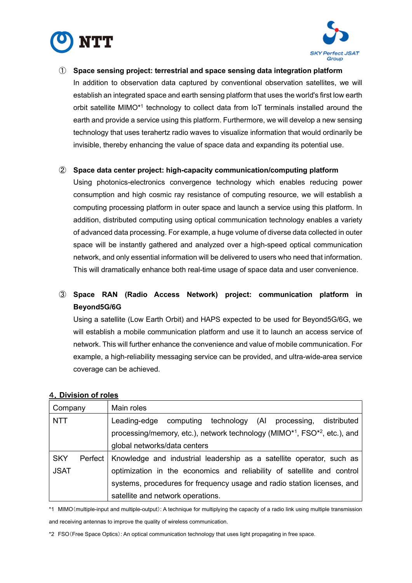



① **Space sensing project: terrestrial and space sensing data integration platform** In addition to observation data captured by conventional observation satellites, we will establish an integrated space and earth sensing platform that uses the world's first low earth orbit satellite MIMO\*1 technology to collect data from IoT terminals installed around the earth and provide a service using this platform. Furthermore, we will develop a new sensing technology that uses terahertz radio waves to visualize information that would ordinarily be invisible, thereby enhancing the value of space data and expanding its potential use.

#### ② **Space data center project: high-capacity communication/computing platform**

Using photonics-electronics convergence technology which enables reducing power consumption and high cosmic ray resistance of computing resource, we will establish a computing processing platform in outer space and launch a service using this platform. In addition, distributed computing using optical communication technology enables a variety of advanced data processing. For example, a huge volume of diverse data collected in outer space will be instantly gathered and analyzed over a high-speed optical communication network, and only essential information will be delivered to users who need that information. This will dramatically enhance both real-time usage of space data and user convenience.

# ③ **Space RAN (Radio Access Network) project: communication platform in Beyond5G/6G**

Using a satellite (Low Earth Orbit) and HAPS expected to be used for Beyond5G/6G, we will establish a mobile communication platform and use it to launch an access service of network. This will further enhance the convenience and value of mobile communication. For example, a high-reliability messaging service can be provided, and ultra-wide-area service coverage can be achieved.

### 4.**Division of roles**

| Company               | Main roles                                                                     |  |  |  |  |  |  |  |  |  |
|-----------------------|--------------------------------------------------------------------------------|--|--|--|--|--|--|--|--|--|
| <b>NTT</b>            | technology (Al processing,<br>Leading-edge<br>computing<br>distributed         |  |  |  |  |  |  |  |  |  |
|                       | processing/memory, etc.), network technology ( $MIMO*1$ , $FSO*2$ , etc.), and |  |  |  |  |  |  |  |  |  |
|                       | global networks/data centers                                                   |  |  |  |  |  |  |  |  |  |
| <b>SKY</b><br>Perfect | Knowledge and industrial leadership as a satellite operator, such as           |  |  |  |  |  |  |  |  |  |
| <b>JSAT</b>           | optimization in the economics and reliability of satellite and control         |  |  |  |  |  |  |  |  |  |
|                       | systems, procedures for frequency usage and radio station licenses, and        |  |  |  |  |  |  |  |  |  |
|                       | satellite and network operations.                                              |  |  |  |  |  |  |  |  |  |

\*1 MIMO(multiple-input and multiple-output): A technique for multiplying the capacity of a radio link using multiple transmission and receiving antennas to improve the quality of wireless communication.

<sup>\*2</sup> FSO(Free Space Optics): An optical communication technology that uses light propagating in free space.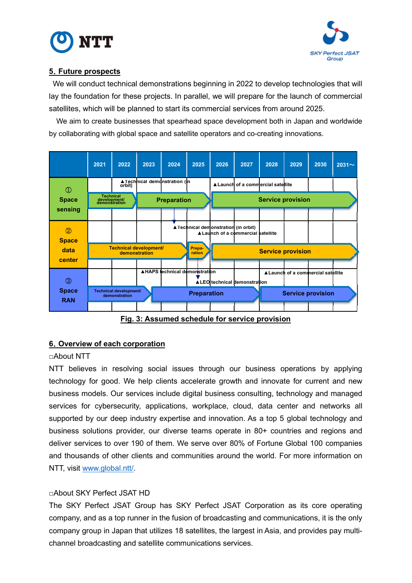



# **5**.**Future prospects**

 We will conduct technical demonstrations beginning in 2022 to develop technologies that will lay the foundation for these projects. In parallel, we will prepare for the launch of commercial satellites, which will be planned to start its commercial services from around 2025.

We aim to create businesses that spearhead space development both in Japan and worldwide by collaborating with global space and satellite operators and co-creating innovations.

|                                | 2021                                           | 2022                                    | 2023               | 2024                          | 2025               | 2026                                 | 2027                                                                                                                                                                                                                               | 2028                     | 2029 | 2030                               | $2031\sim$ |
|--------------------------------|------------------------------------------------|-----------------------------------------|--------------------|-------------------------------|--------------------|--------------------------------------|------------------------------------------------------------------------------------------------------------------------------------------------------------------------------------------------------------------------------------|--------------------------|------|------------------------------------|------------|
| $^{\circledR}$                 |                                                | orbit)                                  |                    | ▲Technical demonstration (in  |                    |                                      | ▲ Launch of a commercial satellite                                                                                                                                                                                                 |                          |      |                                    |            |
| <b>Space</b><br>sensing        | Technical<br>development/<br>demonstration     |                                         | <b>Preparation</b> |                               |                    | <b>Service provision</b>             |                                                                                                                                                                                                                                    |                          |      |                                    |            |
|                                |                                                |                                         |                    |                               |                    |                                      |                                                                                                                                                                                                                                    |                          |      |                                    |            |
| $^{\circledR}$<br><b>Space</b> |                                                |                                         |                    |                               |                    | ▲ Technical demonstration (in orbit) | ▲ Launch of a commercial satellite                                                                                                                                                                                                 |                          |      |                                    |            |
| data<br>center                 | <b>Technical development/</b><br>demonstration |                                         |                    |                               | Prepa-<br>ration   | <b>Service provision</b>             |                                                                                                                                                                                                                                    |                          |      |                                    |            |
|                                |                                                |                                         |                    | ▲HAPS technical demonstration |                    |                                      |                                                                                                                                                                                                                                    |                          |      | ▲ Launch of a commercial satellite |            |
| $\circled{3}$                  |                                                |                                         |                    |                               |                    |                                      | ▲ LEO technical demonstration                                                                                                                                                                                                      |                          |      |                                    |            |
| <b>Space</b><br><b>RAN</b>     |                                                | Technical development/<br>demonstration |                    |                               | <b>Preparation</b> |                                      |                                                                                                                                                                                                                                    | <b>Service provision</b> |      |                                    |            |
|                                |                                                | -                                       | .                  |                               |                    |                                      | $\mathcal{L}$ . The contract of the contract of the contract of the contract of the contract of the contract of the contract of the contract of the contract of the contract of the contract of the contract of the contract of th |                          |      |                                    |            |

**Fig. 3: Assumed schedule for service provision** 

# **6**.**Overview of each corporation**

# □About NTT

NTT believes in resolving social issues through our business operations by applying technology for good. We help clients accelerate growth and innovate for current and new business models. Our services include digital business consulting, technology and managed services for cybersecurity, applications, workplace, cloud, data center and networks all supported by our deep industry expertise and innovation. As a top 5 global technology and business solutions provider, our diverse teams operate in 80+ countries and regions and deliver services to over 190 of them. We serve over 80% of Fortune Global 100 companies and thousands of other clients and communities around the world. For more information on NTT, visit www.global.ntt/.

# □About SKY Perfect JSAT HD

The SKY Perfect JSAT Group has SKY Perfect JSAT Corporation as its core operating company, and as a top runner in the fusion of broadcasting and communications, it is the only company group in Japan that utilizes 18 satellites, the largest in Asia, and provides pay multichannel broadcasting and satellite communications services.